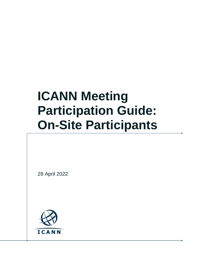# **ICANN Meeting Participation Guide: On-Site Participants**

28 April 2022

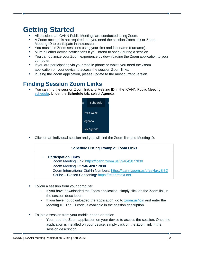## **Getting Started**

- **•** All sessions at ICANN Public Meetings are conducted using Zoom.
- **•** A Zoom account is not required, but you need the session Zoom link or Zoom Meeting ID to participate in the session.
- **•** You must join Zoom sessions using your first and last name (surname).
- **•** Mute all other device notifications if you intend to speak during a session.
- **•** You can optimize your Zoom experience by downloading the Zoom application to your computer.
- **•** If you are participating via your mobile phone or tablet, you need the Zoom application on your device to access the session Zoom links.
- **•** If using the Zoom application, please update to the most current version.

#### **Finding Session Zoom Links**

**•** You can find the session Zoom link and Meeting ID in the ICANN Public Meeting [schedule.](https://schedule.icann.org/) Under the **Schedule** tab, select **Agenda**.



**•** Click on an individual session and you will find the Zoom link and MeetingID.

|           | <b>Schedule Listing Example: Zoom Links</b>                                                                                                                                                                                                            |
|-----------|--------------------------------------------------------------------------------------------------------------------------------------------------------------------------------------------------------------------------------------------------------|
| $\bullet$ | <b>Participation Links</b><br>Zoom Meeting Link: https://icann.zoom.us/j/94642077830<br>Zoom Meeting ID: 946 4207 7830<br>Zoom International Dial-In Numbers: https://icann.zoom.us/u/aeHgxySi8D<br>Scribe - Closed Captioning: https://streamtext.net |

- **•** To join a session from your computer:
	- **-** If you have downloaded the Zoom application, simply click on the Zoom link in the session description.
	- **-** If you have not downloaded the application, go to [zoom.us/join](https://zoom.us/join) and enter the Meeting ID. The ID code is available in the session description.
- **•** To join a session from your mobile phone or tablet:
	- **-** You need the Zoom application on your device to access the session. Once the application is installed on your device, simply click on the Zoom link in the session description.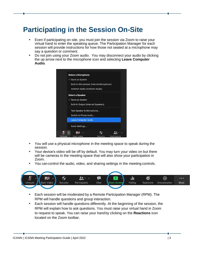## **Participating in the Session On-Site**

- **•** Even if participating on-site, you must join the session via Zoom to raise your virtual hand to enter the speaking queue. The Participation Manager for each session will provide instructions for how those not seated at a microphone may say a question or comment.
- **•** Do not join using your Zoom audio. You may disconnect your audio by clicking the up arrow next to the microphone icon and selecting **Leave Computer Audio**.

|        | <b>Select a Microphone</b><br>$\checkmark$ Same as System<br>Built-in Microphone (Internal Microphone)<br>mmhmm Audio (mmhmm Audio) |  |
|--------|-------------------------------------------------------------------------------------------------------------------------------------|--|
|        | <b>Select a Speaker</b><br>$\checkmark$ Same as System<br><b>Built-in Output (Internal Speakers)</b>                                |  |
|        | Test Speaker & Microphone<br>Switch to Phone Audio<br><b>Leave Computer Audio</b>                                                   |  |
|        | Audio Settings                                                                                                                      |  |
| Unmute | Participants<br><b>Start Video</b><br>Security                                                                                      |  |

- **•** You will use a physical microphone in the meeting space to speak during the session.
- **•** Your device's video will be off by default. You may turn your video on but there will be cameras in the meeting space that will also show your participation in Zoom.
- **•** You can control the audio, video, and sharing settings in the meeting controls.



- **•** Each session will be moderated by a Remote Participation Manager (RPM). The RPM will handle questions and group interaction.
- **•** Each session will handle questions differently. At the beginning of the session, the RPM will explain how to ask questions. You must raise your virtual hand in Zoom to request to speak. You can raise your handby clicking on the **Reactions** icon located on the Zoom toolbar.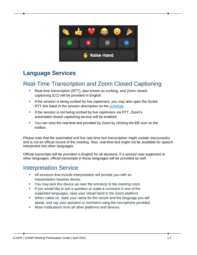

#### **Language Services**

#### Real-Time Transcription and Zoom Closed Captioning

- **•** Real-time transcription (RTT), also known as scribing, and Zoom closed captioning (CC) will be provided in English.
- **•** If the session is being scribed by live captioners, you may also open the Scribe RTT link listed in the session description on the [schedule.](https://schedule.icann.org/)
- **•** If the session is not being scribed by live captioners via RTT, Zoom's automated closed captioning service will be enabled.
- **•** You can view the real-time text provided by Zoom by clicking the **CC** icon on the toolbar.

Please note that the automated and live real-time text transcription might contain inaccuracies and is not an official record of the meeting. Also, real-time text might not be available for speech interpreted into other languages.

Official transcripts will be provided in English for all sessions. If a session was supported in other languages, official transcripts in those languages will be provided as well.

#### Interpretation Service

- **•** All sessions that include interpretation will provide you with an interpretation headset device.
- **•** You may pick this device up near the entrance to the meeting room.
- **•** If you would like to ask a question or make a comment in one of the supported languages, raise your virtual hand in the Zoom platform.
- **•** When called on, state your name for the record and the language you will speak, and say your question or comment using the microphone provided.
- **•** Mute notifications from all other platforms and devices.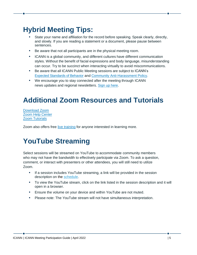# **Hybrid Meeting Tips:**

- **•** State your name and affiliation for the record before speaking. Speak clearly, directly, and slowly. If you are reading a statement or a document, please pause between sentences.
- **•** Be aware that not all participants are in the physical meeting room.
- **•** ICANN is a global community, and different cultures have different communication styles. Without the benefit of facial expressions and body language, misunderstanding can occur. Try to be succinct when interacting virtually to avoid miscommunications.
- **•** Be aware that all ICANN Public Meeting sessions are subject to ICANN's [Expected Standards of Behavior](https://www.icann.org/en/system/files/files/expected-standards-15sep16-en.pdf) and [Community Anti-Harassment Policy.](https://www.icann.org/resources/pages/community-anti-harassment-policy-2017-03-24-en)
- **•** We encourage you to stay connected after the meeting through ICANN news updates and regional newsletters. [Sign up](https://account.icann.org/registeraccount) here.

# **Additional Zoom Resources and Tutorials**

[Download Zoom](https://zoom.us/support/download) [Zoom Help Center](https://support.zoom.us/hc/en-us) [Zoom Tutorials](https://support.zoom.us/hc/en-us/articles/206618765-Zoom-Video-Tutorials)

Zoom also offers free [live training](https://support.zoom.us/hc/en-us/articles/360029527911) for anyone interested in learning more.

## **YouTube Streaming**

Select sessions will be streamed on YouTube to accommodate community members who may not have the bandwidth to effectively participate via Zoom. To ask a question, comment, or interact with presenters or other attendees, you will still need to utilize Zoom.

- **•** If a session includes YouTube streaming, a link will be provided in the session description on the [schedule.](http://schedule.icann.org/)
- **•** To view the YouTube stream, click on the link listed in the session description and it will open in a browser.
- **•** Ensure the volume on your device and within YouTube are not muted.
- **•** Please note: The YouTube stream will not have simultaneous interpretation.